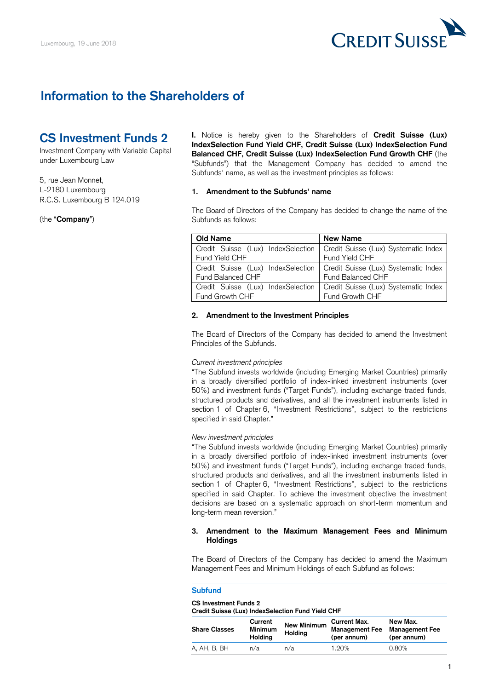

# **Information to the Shareholders of**

# **CS Investment Funds 2**

Investment Company with Variable Capital under Luxembourg Law

5, rue Jean Monnet, L-2180 Luxembourg R.C.S. Luxembourg B 124.019

(the "**Company**")

**I.** Notice is hereby given to the Shareholders of **Credit Suisse (Lux) IndexSelection Fund Yield CHF, Credit Suisse (Lux) IndexSelection Fund Balanced CHF, Credit Suisse (Lux) IndexSelection Fund Growth CHF** (the "Subfunds") that the Management Company has decided to amend the Subfunds' name, as well as the investment principles as follows:

### **1. Amendment to the Subfunds' name**

The Board of Directors of the Company has decided to change the name of the Subfunds as follows:

| <b>Old Name</b>                                                           | <b>New Name</b>                                                           |
|---------------------------------------------------------------------------|---------------------------------------------------------------------------|
|                                                                           | Credit Suisse (Lux) IndexSelection   Credit Suisse (Lux) Systematic Index |
| Fund Yield CHF                                                            | Fund Yield CHF                                                            |
| Credit Suisse (Lux) IndexSelection   Credit Suisse (Lux) Systematic Index |                                                                           |
| <b>Fund Balanced CHF</b>                                                  | Fund Balanced CHF                                                         |
| Credit Suisse (Lux) IndexSelection                                        | Credit Suisse (Lux) Systematic Index                                      |
| Fund Growth CHF                                                           | Fund Growth CHF                                                           |

#### **2. Amendment to the Investment Principles**

The Board of Directors of the Company has decided to amend the Investment Principles of the Subfunds.

#### *Current investment principles*

"The Subfund invests worldwide (including Emerging Market Countries) primarily in a broadly diversified portfolio of index-linked investment instruments (over 50%) and investment funds ("Target Funds"), including exchange traded funds, structured products and derivatives, and all the investment instruments listed in section 1 of Chapter 6, "Investment Restrictions", subject to the restrictions specified in said Chapter."

#### *New investment principles*

"The Subfund invests worldwide (including Emerging Market Countries) primarily in a broadly diversified portfolio of index-linked investment instruments (over 50%) and investment funds ("Target Funds"), including exchange traded funds, structured products and derivatives, and all the investment instruments listed in section 1 of Chapter 6, "Investment Restrictions", subject to the restrictions specified in said Chapter. To achieve the investment objective the investment decisions are based on a systematic approach on short-term momentum and long-term mean reversion."

## **3. Amendment to the Maximum Management Fees and Minimum Holdings**

The Board of Directors of the Company has decided to amend the Maximum Management Fees and Minimum Holdings of each Subfund as follows:

## **Subfund**

## **CS Investment Funds 2**

| Credit Suisse (Lux) IndexSelection Fund Yield CHF |                |             |                        |          |
|---------------------------------------------------|----------------|-------------|------------------------|----------|
|                                                   | Current        | New Minimum | <b>Current Max.</b>    | New Max. |
| <b>Share Classes</b>                              | <b>Minimum</b> |             | Management Fee Managem |          |

| <b>Share Classes</b> | ------<br><b>Minimum</b><br>Holdina | New Minimum<br><b>Holdina</b> | <b>VULLVIIL IIIUAL</b><br>Management Fee Management Fee<br>(per annum) | 11771 BRA<br>(per annum) |
|----------------------|-------------------------------------|-------------------------------|------------------------------------------------------------------------|--------------------------|
| A. AH. B. BH         | n/a                                 | n/a                           | 1.20%                                                                  | 0.80%                    |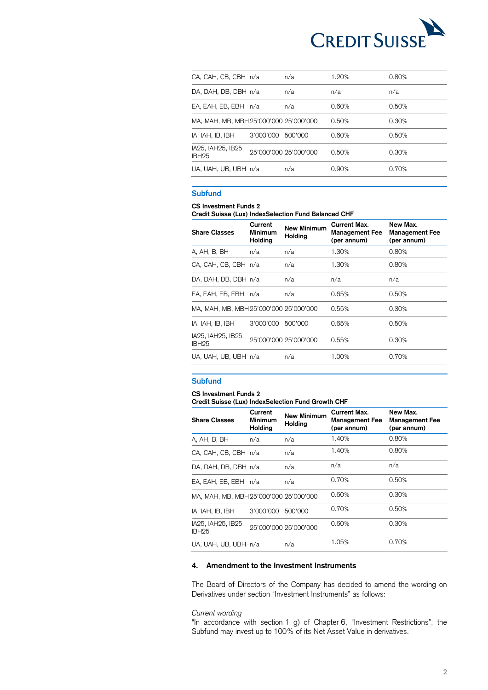

| CA, CAH, CB, CBH n/a                    |           | n/a                   | 1.20% | 0.80% |
|-----------------------------------------|-----------|-----------------------|-------|-------|
| DA, DAH, DB, DBH n/a                    |           | n/a                   | n/a   | n/a   |
| EA, EAH, EB, EBH n/a                    |           | n/a                   | 0.60% | 0.50% |
| MA, MAH, MB, MBH 25'000'000 25'000'000  |           |                       | 0.50% | 0.30% |
| IA, IAH, IB, IBH                        | 3'000'000 | 500'000               | 0.60% | 0.50% |
| IA25, IAH25, IB25,<br>IBH <sub>25</sub> |           | 25'000'000 25'000'000 | 0.50% | 0.30% |
| UA, UAH, UB, UBH n/a                    |           | n/a                   | 0.90% | 0.70% |

## **Subfund**

## **CS Investment Funds 2**

**Credit Suisse (Lux) IndexSelection Fund Balanced CHF**

| <b>Share Classes</b>                    | Current<br><b>Minimum</b><br>Holding | <b>New Minimum</b><br><b>Holding</b> | <b>Current Max.</b><br><b>Management Fee</b><br>(per annum) | New Max.<br><b>Management Fee</b><br>(per annum) |
|-----------------------------------------|--------------------------------------|--------------------------------------|-------------------------------------------------------------|--------------------------------------------------|
| A, AH, B, BH                            | n/a                                  | n/a                                  | 1.30%                                                       | 0.80%                                            |
| CA, CAH, CB, CBH n/a                    |                                      | n/a                                  | 1.30%                                                       | 0.80%                                            |
| DA, DAH, DB, DBH n/a                    |                                      | n/a                                  | n/a                                                         | n/a                                              |
| EA, EAH, EB, EBH n/a                    |                                      | n/a                                  | 0.65%                                                       | 0.50%                                            |
| MA, MAH, MB, MBH 25'000'000 25'000'000  |                                      |                                      | 0.55%                                                       | $0.30\%$                                         |
| IA, IAH, IB, IBH                        | 3'000'000                            | 500'000                              | 0.65%                                                       | 0.50%                                            |
| IA25, IAH25, IB25,<br>IBH <sub>25</sub> |                                      | 25'000'000 25'000'000                | 0.55%                                                       | 0.30%                                            |
| UA, UAH, UB, UBH n/a                    |                                      | n/a                                  | 1.00%                                                       | 0.70%                                            |

# **Subfund**

## **CS Investment Funds 2**

**Credit Suisse (Lux) IndexSelection Fund Growth CHF**

| <b>Share Classes</b>                    | Current<br><b>Minimum</b><br><b>Holding</b> | <b>New Minimum</b><br>Holding | Current Max.<br><b>Management Fee</b><br>(per annum) | New Max.<br><b>Management Fee</b><br>(per annum) |
|-----------------------------------------|---------------------------------------------|-------------------------------|------------------------------------------------------|--------------------------------------------------|
| A, AH, B, BH                            | n/a                                         | n/a                           | 1.40%                                                | 0.80%                                            |
| CA, CAH, CB, CBH n/a                    |                                             | n/a                           | 1.40%                                                | 0.80%                                            |
| DA, DAH, DB, DBH n/a                    |                                             | n/a                           | n/a                                                  | n/a                                              |
| EA, EAH, EB, EBH n/a                    |                                             | n/a                           | 0.70%                                                | 0.50%                                            |
| MA, MAH, MB, MBH 25'000'000 25'000'000  |                                             |                               | 0.60%                                                | 0.30%                                            |
| IA, IAH, IB, IBH                        | 3'000'000                                   | 500'000                       | 0.70%                                                | 0.50%                                            |
| IA25, IAH25, IB25,<br>IBH <sub>25</sub> |                                             | 25'000'000 25'000'000         | 0.60%                                                | 0.30%                                            |
| UA, UAH, UB, UBH n/a                    |                                             | n/a                           | 1.05%                                                | 0.70%                                            |

## **4. Amendment to the Investment Instruments**

The Board of Directors of the Company has decided to amend the wording on Derivatives under section "Investment Instruments" as follows:

## *Current wording*

"In accordance with section 1 g) of Chapter 6, "Investment Restrictions", the Subfund may invest up to 100% of its Net Asset Value in derivatives.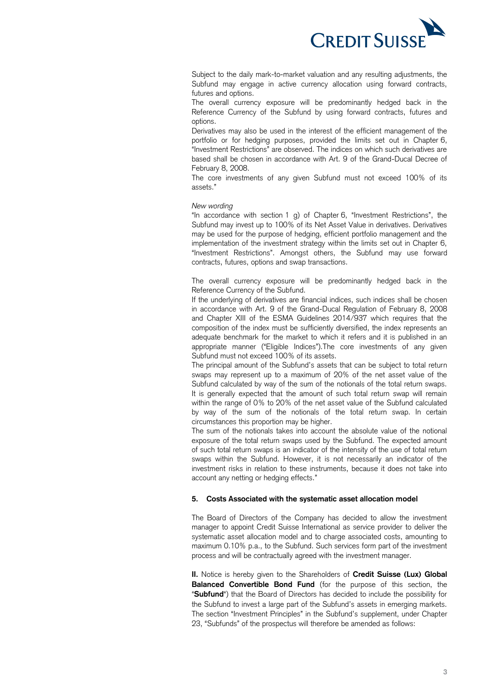

Subject to the daily mark-to-market valuation and any resulting adjustments, the Subfund may engage in active currency allocation using forward contracts, futures and options.

The overall currency exposure will be predominantly hedged back in the Reference Currency of the Subfund by using forward contracts, futures and options.

Derivatives may also be used in the interest of the efficient management of the portfolio or for hedging purposes, provided the limits set out in Chapter 6, "Investment Restrictions" are observed. The indices on which such derivatives are based shall be chosen in accordance with Art. 9 of the Grand-Ducal Decree of February 8, 2008.

The core investments of any given Subfund must not exceed 100% of its assets."

### *New wording*

"In accordance with section 1 g) of Chapter 6, "Investment Restrictions", the Subfund may invest up to 100% of its Net Asset Value in derivatives. Derivatives may be used for the purpose of hedging, efficient portfolio management and the implementation of the investment strategy within the limits set out in Chapter 6, "Investment Restrictions". Amongst others, the Subfund may use forward contracts, futures, options and swap transactions.

The overall currency exposure will be predominantly hedged back in the Reference Currency of the Subfund.

If the underlying of derivatives are financial indices, such indices shall be chosen in accordance with Art. 9 of the Grand-Ducal Regulation of February 8, 2008 and Chapter XIII of the ESMA Guidelines 2014/937 which requires that the composition of the index must be sufficiently diversified, the index represents an adequate benchmark for the market to which it refers and it is published in an appropriate manner ("Eligible Indices").The core investments of any given Subfund must not exceed 100% of its assets.

The principal amount of the Subfund's assets that can be subject to total return swaps may represent up to a maximum of 20% of the net asset value of the Subfund calculated by way of the sum of the notionals of the total return swaps. It is generally expected that the amount of such total return swap will remain within the range of 0% to 20% of the net asset value of the Subfund calculated by way of the sum of the notionals of the total return swap. In certain circumstances this proportion may be higher.

The sum of the notionals takes into account the absolute value of the notional exposure of the total return swaps used by the Subfund. The expected amount of such total return swaps is an indicator of the intensity of the use of total return swaps within the Subfund. However, it is not necessarily an indicator of the investment risks in relation to these instruments, because it does not take into account any netting or hedging effects."

## **5. Costs Associated with the systematic asset allocation model**

The Board of Directors of the Company has decided to allow the investment manager to appoint Credit Suisse International as service provider to deliver the systematic asset allocation model and to charge associated costs, amounting to maximum 0.10% p.a., to the Subfund. Such services form part of the investment process and will be contractually agreed with the investment manager.

**II.** Notice is hereby given to the Shareholders of **Credit Suisse (Lux) Global Balanced Convertible Bond Fund** (for the purpose of this section, the "**Subfund**") that the Board of Directors has decided to include the possibility for the Subfund to invest a large part of the Subfund's assets in emerging markets. The section "Investment Principles" in the Subfund's supplement, under Chapter 23, "Subfunds" of the prospectus will therefore be amended as follows: